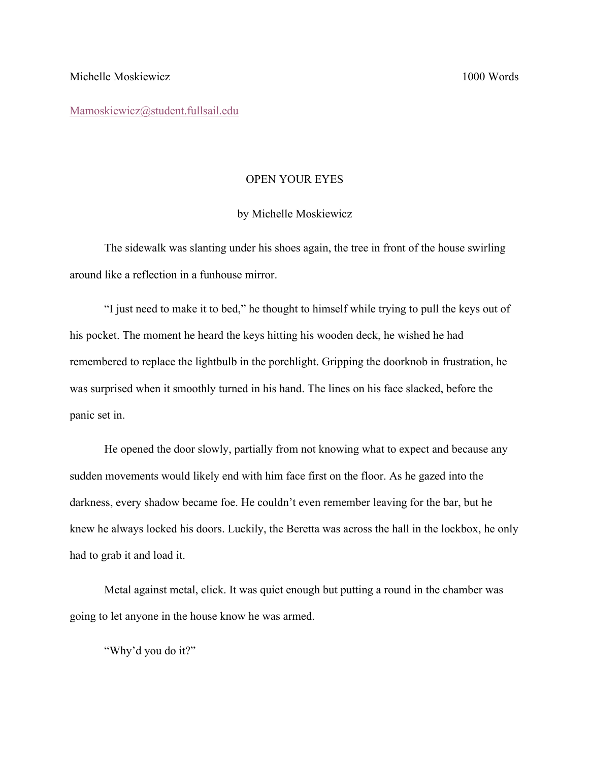Mamoskiewicz@student.fullsail.edu

## OPEN YOUR EYES

## by Michelle Moskiewicz

The sidewalk was slanting under his shoes again, the tree in front of the house swirling around like a reflection in a funhouse mirror.

"I just need to make it to bed," he thought to himself while trying to pull the keys out of his pocket. The moment he heard the keys hitting his wooden deck, he wished he had remembered to replace the lightbulb in the porchlight. Gripping the doorknob in frustration, he was surprised when it smoothly turned in his hand. The lines on his face slacked, before the panic set in.

He opened the door slowly, partially from not knowing what to expect and because any sudden movements would likely end with him face first on the floor. As he gazed into the darkness, every shadow became foe. He couldn't even remember leaving for the bar, but he knew he always locked his doors. Luckily, the Beretta was across the hall in the lockbox, he only had to grab it and load it.

Metal against metal, click. It was quiet enough but putting a round in the chamber was going to let anyone in the house know he was armed.

"Why'd you do it?"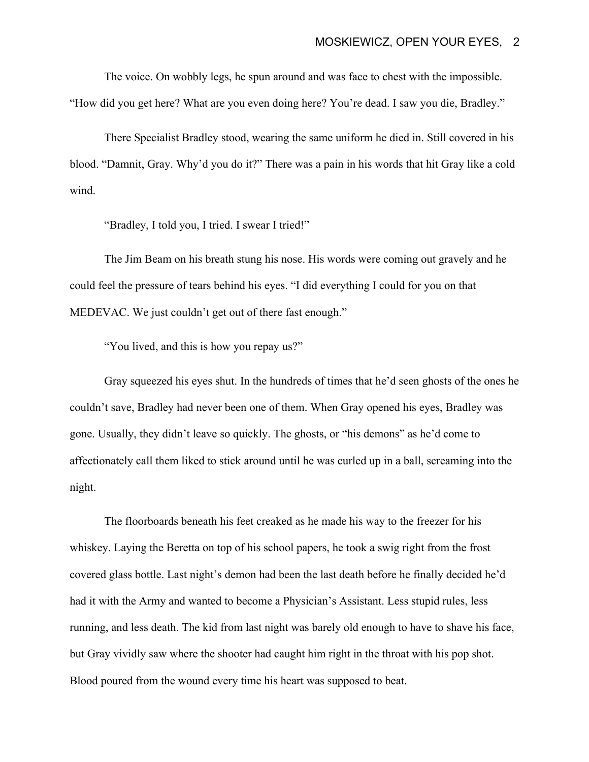The voice. On wobbly legs, he spun around and was face to chest with the impossible. "How did you get here? What are you even doing here? You're dead. I saw you die, Bradley."

There Specialist Bradley stood, wearing the same uniform he died in. Still covered in his blood. "Damnit, Gray. Why'd you do it?" There was a pain in his words that hit Gray like a cold wind.

"Bradley, I told you, I tried. I swear I tried!"

The Jim Beam on his breath stung his nose. His words were coming out gravely and he could feel the pressure of tears behind his eyes. "I did everything I could for you on that MEDEVAC. We just couldn't get out of there fast enough."

"You lived, and this is how you repay us?"

Gray squeezed his eyes shut. In the hundreds of times that he'd seen ghosts of the ones he couldn't save, Bradley had never been one of them. When Gray opened his eyes, Bradley was gone. Usually, they didn't leave so quickly. The ghosts, or "his demons" as he'd come to affectionately call them liked to stick around until he was curled up in a ball, screaming into the night.

The floorboards beneath his feet creaked as he made his way to the freezer for his whiskey. Laying the Beretta on top of his school papers, he took a swig right from the frost covered glass bottle. Last night's demon had been the last death before he finally decided he'd had it with the Army and wanted to become a Physician's Assistant. Less stupid rules, less running, and less death. The kid from last night was barely old enough to have to shave his face, but Gray vividly saw where the shooter had caught him right in the throat with his pop shot. Blood poured from the wound every time his heart was supposed to beat.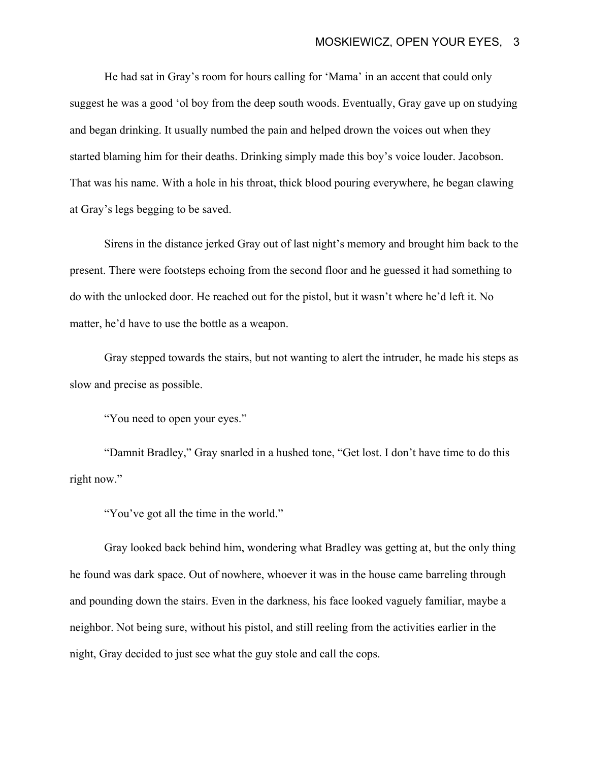He had sat in Gray's room for hours calling for 'Mama' in an accent that could only suggest he was a good 'ol boy from the deep south woods. Eventually, Gray gave up on studying and began drinking. It usually numbed the pain and helped drown the voices out when they started blaming him for their deaths. Drinking simply made this boy's voice louder. Jacobson. That was his name. With a hole in his throat, thick blood pouring everywhere, he began clawing at Gray's legs begging to be saved.

Sirens in the distance jerked Gray out of last night's memory and brought him back to the present. There were footsteps echoing from the second floor and he guessed it had something to do with the unlocked door. He reached out for the pistol, but it wasn't where he'd left it. No matter, he'd have to use the bottle as a weapon.

Gray stepped towards the stairs, but not wanting to alert the intruder, he made his steps as slow and precise as possible.

"You need to open your eyes."

"Damnit Bradley," Gray snarled in a hushed tone, "Get lost. I don't have time to do this right now."

"You've got all the time in the world."

Gray looked back behind him, wondering what Bradley was getting at, but the only thing he found was dark space. Out of nowhere, whoever it was in the house came barreling through and pounding down the stairs. Even in the darkness, his face looked vaguely familiar, maybe a neighbor. Not being sure, without his pistol, and still reeling from the activities earlier in the night, Gray decided to just see what the guy stole and call the cops.